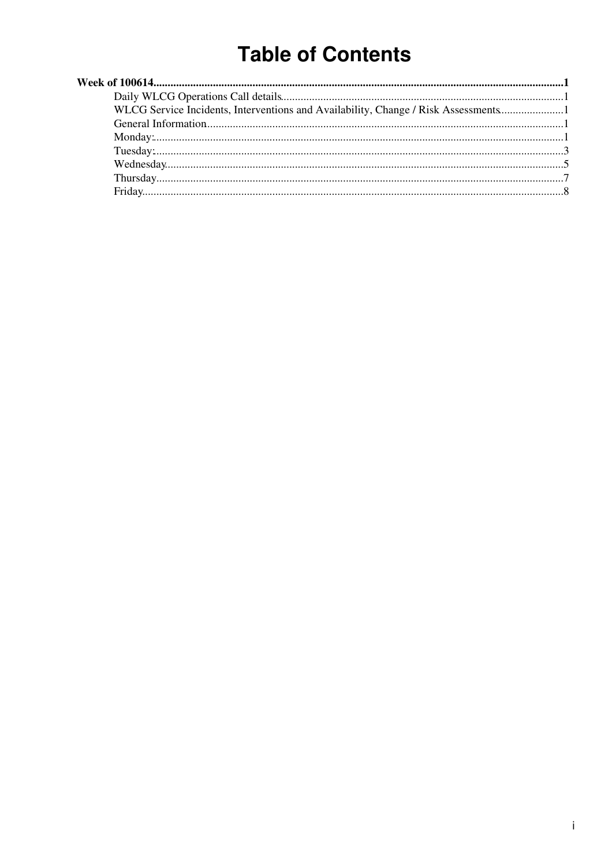# **Table of Contents**

| WLCG Service Incidents, Interventions and Availability, Change / Risk Assessments1 |  |
|------------------------------------------------------------------------------------|--|
|                                                                                    |  |
|                                                                                    |  |
|                                                                                    |  |
|                                                                                    |  |
|                                                                                    |  |
|                                                                                    |  |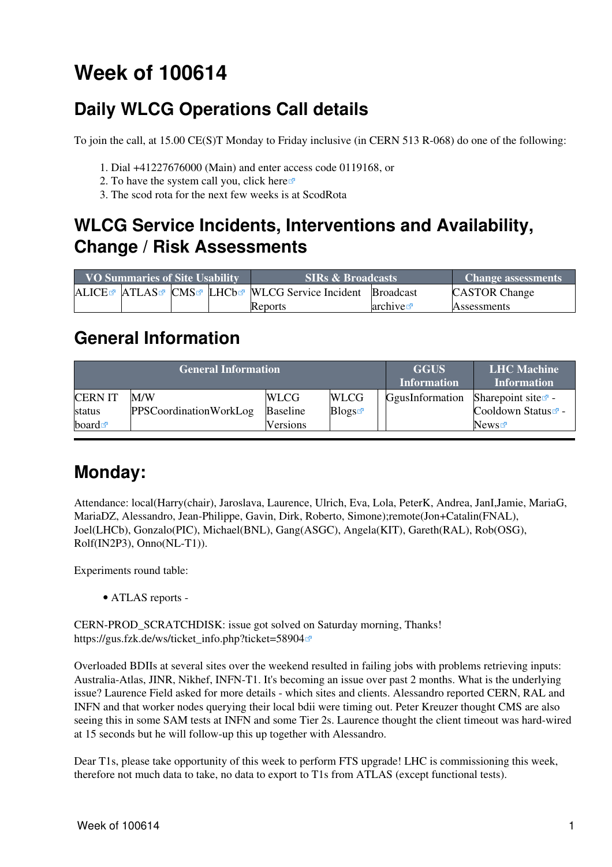# <span id="page-1-0"></span>**Week of 100614**

## <span id="page-1-1"></span>**Daily WLCG Operations Call details**

To join the call, at 15.00 CE(S)T Monday to Friday inclusive (in CERN 513 R-068) do one of the following:

- 1. Dial +41227676000 (Main) and enter access code 0119168, or
- 2. To have the system call you, click [here](https://audioconf.cern.ch/call/0119168) $\Phi$
- 3. The scod rota for the next few weeks is at [ScodRota](https://twiki.cern.ch/twiki/bin/view/LCG/ScodRota)

### <span id="page-1-2"></span>**WLCG Service Incidents, Interventions and Availability, Change / Risk Assessments**

| <b>VO Summaries of Site Usability</b> |  |  | <b>SIRs &amp; Broadcasts</b>                                                                             | <b>Change assessments</b> |                      |
|---------------------------------------|--|--|----------------------------------------------------------------------------------------------------------|---------------------------|----------------------|
|                                       |  |  | ALICE <sup>®</sup> ATLAS <sup>®</sup> CMS <sup>®</sup> LHCb <sup>®</sup> WLCG Service Incident Broadcast |                           | <b>CASTOR Change</b> |
|                                       |  |  | <b>Reports</b>                                                                                           | archive $\infty$          | <b>Assessments</b>   |

### <span id="page-1-3"></span>**General Information**

|                          | <b>General Information</b>           | <b>GGUS</b><br><b>Information</b> | <b>LHC</b> Machine<br><b>Information</b> |                 |                                                               |
|--------------------------|--------------------------------------|-----------------------------------|------------------------------------------|-----------------|---------------------------------------------------------------|
| <b>CERN IT</b><br>status | M/W<br><b>PPSCoordinationWorkLog</b> | <b>WLCG</b><br><b>Baseline</b>    | <b>WLCG</b><br>Blogs                     | GgusInformation | Sharepoint site $\vec{r}$ -<br>Cooldown Status <sup>®</sup> - |
| board $\blacksquare$     |                                      | <b>Versions</b>                   |                                          |                 | News                                                          |

### <span id="page-1-4"></span>**Monday:**

Attendance: local(Harry(chair), Jaroslava, Laurence, Ulrich, Eva, Lola, [PeterK,](https://twiki.cern.ch/twiki/bin/edit/LCG/PeterK?topicparent=LCG.WLCGDailyMeetingsWeek100614;nowysiwyg=1) Andrea, [JanI](https://twiki.cern.ch/twiki/bin/edit/LCG/JanI?topicparent=LCG.WLCGDailyMeetingsWeek100614;nowysiwyg=1),Jamie, [MariaG](https://twiki.cern.ch/twiki/bin/edit/LCG/MariaG?topicparent=LCG.WLCGDailyMeetingsWeek100614;nowysiwyg=1), [MariaDZ,](https://twiki.cern.ch/twiki/bin/edit/LCG/MariaDZ?topicparent=LCG.WLCGDailyMeetingsWeek100614;nowysiwyg=1) Alessandro, Jean-Philippe, Gavin, Dirk, Roberto, Simone);remote(Jon+Catalin(FNAL), Joel(LHCb), Gonzalo(PIC), Michael(BNL), Gang(ASGC), Angela(KIT), Gareth([RAL\)](https://twiki.cern.ch/twiki/bin/view/LCG/RAL), Rob(OSG), Rolf[\(IN2P3\)](https://twiki.cern.ch/twiki/bin/view/LCG/IN2P3), Onno(NL-T1)).

Experiments round table:

• ATLAS [reports](https://twiki.cern.ch/twiki/bin/view/Atlas/ADCOperationsDailyReports) -

CERN-PROD\_SCRATCHDISK: issue got solved on Saturday morning, Thanks! [https://gus.fzk.de/ws/ticket\\_info.php?ticket=58904](https://gus.fzk.de/ws/ticket_info.php?ticket=58904)

Overloaded BDIIs at several sites over the weekend resulted in failing jobs with problems retrieving inputs: Australia-Atlas, JINR, Nikhef, INFN-T1. It's becoming an issue over past 2 months. What is the underlying issue? Laurence Field asked for more details - which sites and clients. Alessandro reported CERN, [RAL](https://twiki.cern.ch/twiki/bin/view/LCG/RAL) and INFN and that worker nodes querying their local bdii were timing out. Peter Kreuzer thought CMS are also seeing this in some SAM tests at INFN and some Tier 2s. Laurence thought the client timeout was hard-wired at 15 seconds but he will follow-up this up together with Alessandro.

Dear T1s, please take opportunity of this week to perform FTS upgrade! LHC is commissioning this week, therefore not much data to take, no data to export to T1s from ATLAS (except functional tests).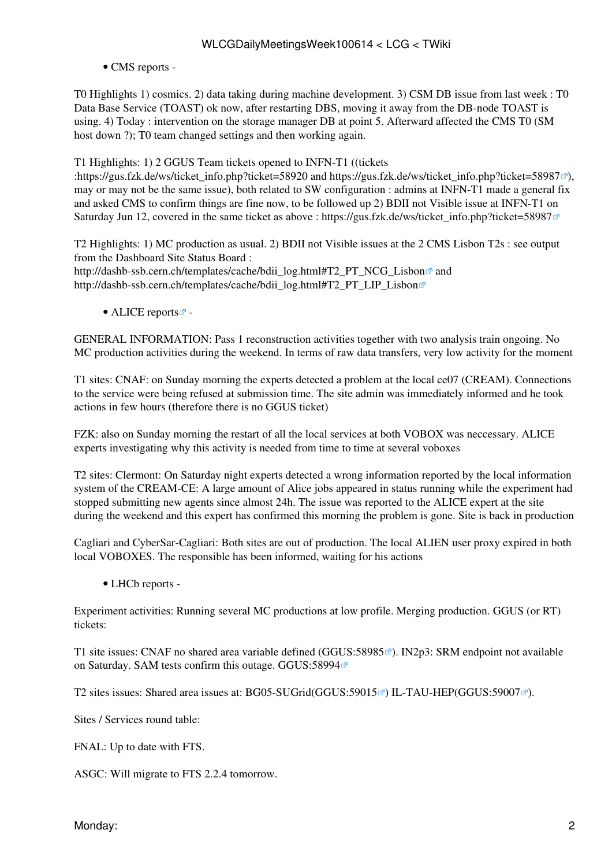#### • CMS [reports](https://twiki.cern.ch/twiki/bin/view/CMS/FacOps_WLCGdailyreports) -

T0 Highlights 1) cosmics. 2) data taking during machine development. 3) CSM DB issue from last week : T0 Data Base Service (TOAST) ok now, after restarting DBS, moving it away from the DB-node TOAST is using. 4) Today : intervention on the storage manager DB at point 5. Afterward affected the CMS T0 (SM host down ?); T0 team changed settings and then working again.

T1 Highlights: 1) 2 GGUS Team tickets opened to INFN-T1 ((tickets

:https://gus.fzk.de/ws/ticket\_info.php?ticket=58920 and [https://gus.fzk.de/ws/ticket\\_info.php?ticket=58987](https://gus.fzk.de/ws/ticket_info.php?ticket=58987) $\mathbb{Z}$ ). may or may not be the same issue), both related to SW configuration : admins at INFN-T1 made a general fix and asked CMS to confirm things are fine now, to be followed up 2) BDII not Visible issue at INFN-T1 on Saturday Jun 12, covered in the same ticket as above : [https://gus.fzk.de/ws/ticket\\_info.php?ticket=58987](https://gus.fzk.de/ws/ticket_info.php?ticket=58987)

T2 Highlights: 1) MC production as usual. 2) BDII not Visible issues at the 2 CMS Lisbon T2s : see output from the Dashboard Site Status Board : http://dashb-ssb.cern.ch/templates/cache/bdii\_log.html#T2\_PT\_NCG\_Lisbon<sup>®</sup> and [http://dashb-ssb.cern.ch/templates/cache/bdii\\_log.html#T2\\_PT\\_LIP\\_Lisbon](http://dashb-ssb.cern.ch/templates/cache/bdii_log.html#T2_PT_LIP_Lisbon)

• ALICE [reports](http://alien2.cern.ch/index.php?option=com_content&view=article&id=75&Itemid=129) $\blacksquare$ -

GENERAL INFORMATION: Pass 1 reconstruction activities together with two analysis train ongoing. No MC production activities during the weekend. In terms of raw data transfers, very low activity for the moment

T1 sites: CNAF: on Sunday morning the experts detected a problem at the local ce07 [\(CREAM\)](https://twiki.cern.ch/twiki/bin/view/LCG/CREAM). Connections to the service were being refused at submission time. The site admin was immediately informed and he took actions in few hours (therefore there is no GGUS ticket)

FZK: also on Sunday morning the restart of all the local services at both VOBOX was neccessary. ALICE experts investigating why this activity is needed from time to time at several voboxes

T2 sites: Clermont: On Saturday night experts detected a wrong information reported by the local information system of the [CREAM](https://twiki.cern.ch/twiki/bin/view/LCG/CREAM)-CE: A large amount of Alice jobs appeared in status running while the experiment had stopped submitting new agents since almost 24h. The issue was reported to the ALICE expert at the site during the weekend and this expert has confirmed this morning the problem is gone. Site is back in production

Cagliari and [CyberSar](https://twiki.cern.ch/twiki/bin/edit/LCG/CyberSar?topicparent=LCG.WLCGDailyMeetingsWeek100614;nowysiwyg=1)-Cagliari: Both sites are out of production. The local ALIEN user proxy expired in both local VOBOXES. The responsible has been informed, waiting for his actions

• LHCb [reports](https://twiki.cern.ch/twiki/bin/view/LHCb/ProductionOperationsWLCGdailyReports) -

Experiment activities: Running several MC productions at low profile. Merging production. GGUS (or RT) tickets:

T1 site issues: CNAF no shared area variable defined [\(GGUS:58985](https://ggus.eu/ws/ticket_info.php?ticket=58985)<sup>®</sup>). IN2p3: SRM endpoint not available on Saturday. SAM tests confirm this outage. [GGUS:58994](https://ggus.eu/ws/ticket_info.php?ticket=58994)<sup>®</sup>

T2 sites issues: Shared area issues at: BG05-SUGrid[\(GGUS:59015](https://ggus.eu/ws/ticket_info.php?ticket=59015)<sup>®</sup>) IL-TAU-HEP[\(GGUS:59007](https://ggus.eu/ws/ticket_info.php?ticket=59007)<sup>®</sup>).

Sites / Services round table:

FNAL: Up to date with FTS.

ASGC: Will migrate to FTS 2.2.4 tomorrow.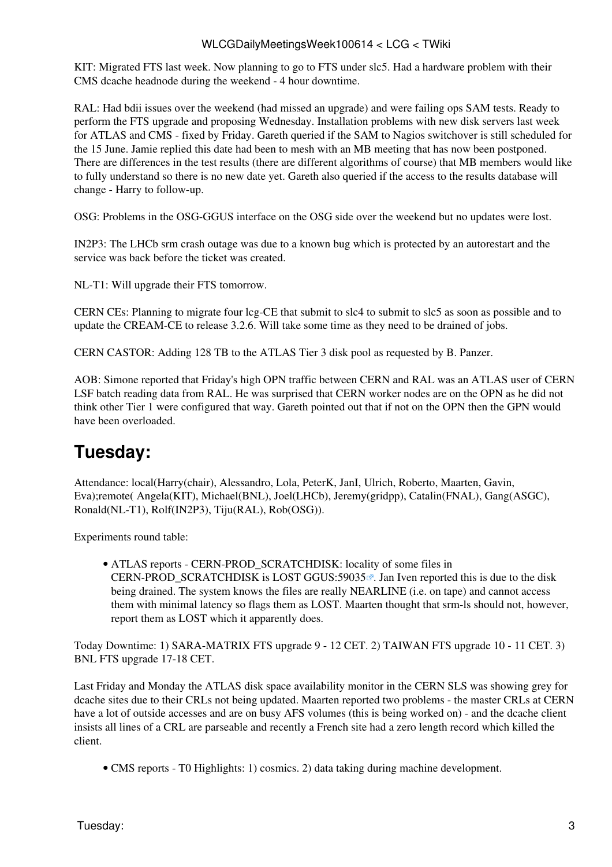KIT: Migrated FTS last week. Now planning to go to FTS under slc5. Had a hardware problem with their CMS dcache headnode during the weekend - 4 hour downtime.

[RAL](https://twiki.cern.ch/twiki/bin/view/LCG/RAL): Had bdii issues over the weekend (had missed an upgrade) and were failing ops SAM tests. Ready to perform the FTS upgrade and proposing Wednesday. Installation problems with new disk servers last week for ATLAS and CMS - fixed by Friday. Gareth queried if the SAM to Nagios switchover is still scheduled for the 15 June. Jamie replied this date had been to mesh with an MB meeting that has now been postponed. There are differences in the test results (there are different algorithms of course) that MB members would like to fully understand so there is no new date yet. Gareth also queried if the access to the results database will change - Harry to follow-up.

OSG: Problems in the OSG-GGUS interface on the OSG side over the weekend but no updates were lost.

[IN2P3:](https://twiki.cern.ch/twiki/bin/view/LCG/IN2P3) The LHCb srm crash outage was due to a known bug which is protected by an autorestart and the service was back before the ticket was created.

NL-T1: Will upgrade their FTS tomorrow.

CERN CEs: Planning to migrate four lcg-CE that submit to slc4 to submit to slc5 as soon as possible and to update the [CREAM](https://twiki.cern.ch/twiki/bin/view/LCG/CREAM)-CE to release 3.2.6. Will take some time as they need to be drained of jobs.

CERN CASTOR: Adding 128 TB to the ATLAS Tier 3 disk pool as requested by B. Panzer.

AOB: Simone reported that Friday's high OPN traffic between CERN and [RAL](https://twiki.cern.ch/twiki/bin/view/LCG/RAL) was an ATLAS user of CERN [LSF](https://twiki.cern.ch/twiki/bin/view/LCG/LSF) batch reading data from [RAL](https://twiki.cern.ch/twiki/bin/view/LCG/RAL). He was surprised that CERN worker nodes are on the OPN as he did not think other Tier 1 were configured that way. Gareth pointed out that if not on the OPN then the GPN would have been overloaded.

### <span id="page-3-0"></span>**Tuesday:**

Attendance: local(Harry(chair), Alessandro, Lola, [PeterK,](https://twiki.cern.ch/twiki/bin/edit/LCG/PeterK?topicparent=LCG.WLCGDailyMeetingsWeek100614;nowysiwyg=1) [JanI](https://twiki.cern.ch/twiki/bin/edit/LCG/JanI?topicparent=LCG.WLCGDailyMeetingsWeek100614;nowysiwyg=1), Ulrich, Roberto, Maarten, Gavin, Eva);remote( Angela(KIT), Michael(BNL), Joel(LHCb), Jeremy(gridpp), Catalin(FNAL), Gang(ASGC), Ronald(NL-T1), Rolf[\(IN2P3](https://twiki.cern.ch/twiki/bin/view/LCG/IN2P3)), Tiju[\(RAL](https://twiki.cern.ch/twiki/bin/view/LCG/RAL)), Rob(OSG)).

Experiments round table:

ATLAS [reports](https://twiki.cern.ch/twiki/bin/view/Atlas/ADCOperationsDailyReports) - CERN-PROD\_SCRATCHDISK: locality of some files in • CERN-PROD SCRATCHDISK is LOST [GGUS:59035](https://ggus.eu/ws/ticket_info.php?ticket=59035) $\vec{x}$ . Jan Iven reported this is due to the disk being drained. The system knows the files are really NEARLINE (i.e. on tape) and cannot access them with minimal latency so flags them as LOST. Maarten thought that srm-ls should not, however, report them as LOST which it apparently does.

Today Downtime: 1) SARA-MATRIX FTS upgrade 9 - 12 CET. 2) TAIWAN FTS upgrade 10 - 11 CET. 3) BNL FTS upgrade 17-18 CET.

Last Friday and Monday the ATLAS disk space availability monitor in the CERN SLS was showing grey for dcache sites due to their CRLs not being updated. Maarten reported two problems - the master CRLs at CERN have a lot of outside accesses and are on busy AFS volumes (this is being worked on) - and the dcache client insists all lines of a CRL are parseable and recently a French site had a zero length record which killed the client.

• CMS [reports](https://twiki.cern.ch/twiki/bin/view/CMS/FacOps_WLCGdailyreports) - T0 Highlights: 1) cosmics. 2) data taking during machine development.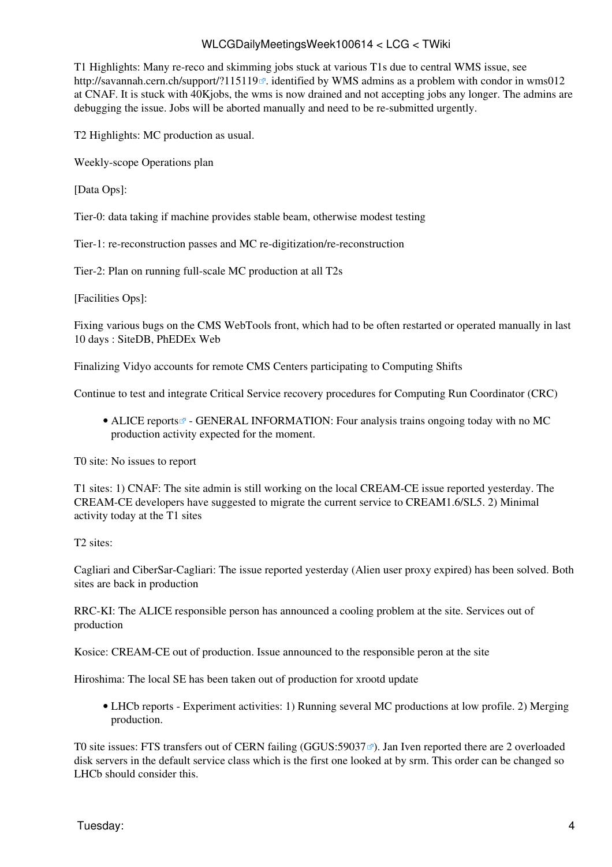T1 Highlights: Many re-reco and skimming jobs stuck at various T1s due to central WMS issue, see <http://savannah.cern.ch/support/?115119> $\mathcal{P}$ . identified by WMS admins as a problem with condor in wms012 at CNAF. It is stuck with 40Kjobs, the wms is now drained and not accepting jobs any longer. The admins are debugging the issue. Jobs will be aborted manually and need to be re-submitted urgently.

T2 Highlights: MC production as usual.

Weekly-scope Operations plan

[Data Ops]:

Tier-0: data taking if machine provides stable beam, otherwise modest testing

Tier-1: re-reconstruction passes and MC re-digitization/re-reconstruction

Tier-2: Plan on running full-scale MC production at all T2s

[Facilities Ops]:

Fixing various bugs on the CMS [WebTools](https://twiki.cern.ch/twiki/bin/edit/LCG/WebTools?topicparent=LCG.WLCGDailyMeetingsWeek100614;nowysiwyg=1) front, which had to be often restarted or operated manually in last 10 days : [SiteDB,](https://twiki.cern.ch/twiki/bin/edit/LCG/SiteDB?topicparent=LCG.WLCGDailyMeetingsWeek100614;nowysiwyg=1) [PhEDEx](https://twiki.cern.ch/twiki/bin/view/LCG/PhEDEx) Web

Finalizing Vidyo accounts for remote CMS Centers participating to Computing Shifts

Continue to test and integrate Critical Service recovery procedures for Computing Run Coordinator (CRC)

• ALICE [reports](http://alien2.cern.ch/index.php?option=com_content&view=article&id=75&Itemid=129)<sup>®</sup> - GENERAL INFORMATION: Four analysis trains ongoing today with no MC production activity expected for the moment.

T0 site: No issues to report

T1 sites: 1) CNAF: The site admin is still working on the local [CREAM-](https://twiki.cern.ch/twiki/bin/view/LCG/CREAM)CE issue reported yesterday. The [CREAM](https://twiki.cern.ch/twiki/bin/view/LCG/CREAM)-CE developers have suggested to migrate the current service to CREAM1.6/SL5. 2) Minimal activity today at the T1 sites

T2 sites:

Cagliari and [CiberSar-](https://twiki.cern.ch/twiki/bin/edit/LCG/CiberSar?topicparent=LCG.WLCGDailyMeetingsWeek100614;nowysiwyg=1)Cagliari: The issue reported yesterday (Alien user proxy expired) has been solved. Both sites are back in production

RRC-KI: The ALICE responsible person has announced a cooling problem at the site. Services out of production

Kosice: [CREAM-](https://twiki.cern.ch/twiki/bin/view/LCG/CREAM)CE out of production. Issue announced to the responsible peron at the site

Hiroshima: The local SE has been taken out of production for xrootd update

LHCb [reports](https://twiki.cern.ch/twiki/bin/view/LHCb/ProductionOperationsWLCGdailyReports) - Experiment activities: 1) Running several MC productions at low profile. 2) Merging • production.

T0 site issues: FTS transfers out of CERN failing (GGUS: 59037 $\degree$ ). Jan Iven reported there are 2 overloaded disk servers in the default service class which is the first one looked at by srm. This order can be changed so LHCb should consider this.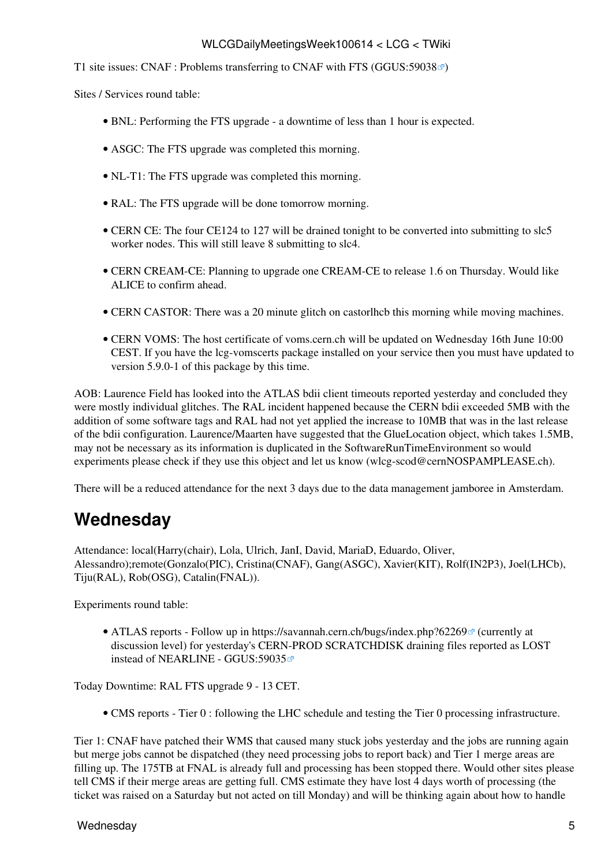T1 site issues: CNAF : Problems transferring to CNAF with FTS [\(GGUS:59038](https://ggus.eu/ws/ticket_info.php?ticket=59038) $\mathbb{Z}$ )

Sites / Services round table:

- BNL: Performing the FTS upgrade a downtime of less than 1 hour is expected.
- ASGC: The FTS upgrade was completed this morning.
- NL-T1: The FTS upgrade was completed this morning.
- [RAL](https://twiki.cern.ch/twiki/bin/view/LCG/RAL): The FTS upgrade will be done tomorrow morning.
- CERN CE: The four CE124 to 127 will be drained tonight to be converted into submitting to slc5 worker nodes. This will still leave 8 submitting to slc4.
- CERN [CREAM](https://twiki.cern.ch/twiki/bin/view/LCG/CREAM)-CE: Planning to upgrade one [CREAM-](https://twiki.cern.ch/twiki/bin/view/LCG/CREAM)CE to release 1.6 on Thursday. Would like ALICE to confirm ahead.
- CERN CASTOR: There was a 20 minute glitch on castorlhcb this morning while moving machines.
- CERN [VOMS:](https://twiki.cern.ch/twiki/bin/view/LCG/VOMS) The host certificate of voms.cern.ch will be updated on Wednesday 16th June 10:00 CEST. If you have the lcg-vomscerts package installed on your service then you must have updated to version 5.9.0-1 of this package by this time.

AOB: Laurence Field has looked into the ATLAS bdii client timeouts reported yesterday and concluded they were mostly individual glitches. The [RAL](https://twiki.cern.ch/twiki/bin/view/LCG/RAL) incident happened because the CERN bdii exceeded 5MB with the addition of some software tags and [RAL](https://twiki.cern.ch/twiki/bin/view/LCG/RAL) had not yet applied the increase to 10MB that was in the last release of the bdii configuration. Laurence/Maarten have suggested that the [GlueLocation](https://twiki.cern.ch/twiki/bin/edit/LCG/GlueLocation?topicparent=LCG.WLCGDailyMeetingsWeek100614;nowysiwyg=1) object, which takes 1.5MB, may not be necessary as its information is duplicated in the [SoftwareRunTimeEnvironment](https://twiki.cern.ch/twiki/bin/edit/LCG/SoftwareRunTimeEnvironment?topicparent=LCG.WLCGDailyMeetingsWeek100614;nowysiwyg=1) so would experiments please check if they use this object and let us know ([wlcg-scod@cernNOSPAMPLEASE.ch](mailto:wlcg-scod@cernNOSPAMPLEASE.ch)).

There will be a reduced attendance for the next 3 days due to the data management jamboree in Amsterdam.

### <span id="page-5-0"></span>**Wednesday**

Attendance: local(Harry(chair), Lola, Ulrich, [JanI](https://twiki.cern.ch/twiki/bin/edit/LCG/JanI?topicparent=LCG.WLCGDailyMeetingsWeek100614;nowysiwyg=1), David, [MariaD](https://twiki.cern.ch/twiki/bin/edit/LCG/MariaD?topicparent=LCG.WLCGDailyMeetingsWeek100614;nowysiwyg=1), Eduardo, Oliver, Alessandro);remote(Gonzalo(PIC), Cristina(CNAF), Gang(ASGC), Xavier(KIT), Rolf([IN2P3\)](https://twiki.cern.ch/twiki/bin/view/LCG/IN2P3), Joel(LHCb), Tiju([RAL](https://twiki.cern.ch/twiki/bin/view/LCG/RAL)), Rob(OSG), Catalin(FNAL)).

Experiments round table:

• ATLAS [reports](https://twiki.cern.ch/twiki/bin/view/Atlas/ADCOperationsDailyReports) - Follow up in https://savannah.cern.ch/bugs/index.php?62269<sup>®</sup> (currently at discussion level) for yesterday's CERN-PROD SCRATCHDISK draining files reported as LOST instead of NEARLINE - [GGUS:59035](https://ggus.eu/ws/ticket_info.php?ticket=59035)

Today Downtime: [RAL](https://twiki.cern.ch/twiki/bin/view/LCG/RAL) FTS upgrade 9 - 13 CET.

• CMS [reports](https://twiki.cern.ch/twiki/bin/view/CMS/FacOps_WLCGdailyreports) - Tier 0 : following the LHC schedule and testing the Tier 0 processing infrastructure.

Tier 1: CNAF have patched their WMS that caused many stuck jobs yesterday and the jobs are running again but merge jobs cannot be dispatched (they need processing jobs to report back) and Tier 1 merge areas are filling up. The 175TB at FNAL is already full and processing has been stopped there. Would other sites please tell CMS if their merge areas are getting full. CMS estimate they have lost 4 days worth of processing (the ticket was raised on a Saturday but not acted on till Monday) and will be thinking again about how to handle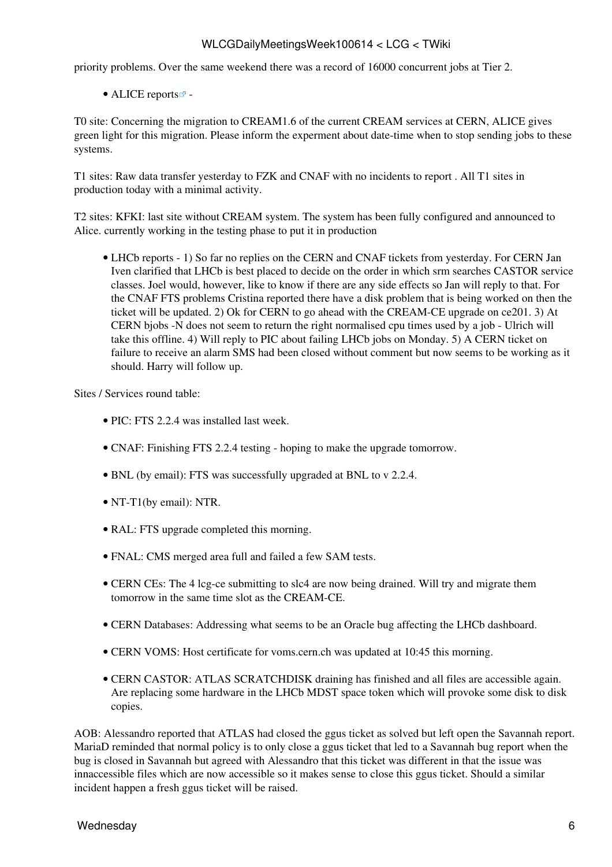priority problems. Over the same weekend there was a record of 16000 concurrent jobs at Tier 2.

 $\bullet$  ALICE [reports](http://alien2.cern.ch/index.php?option=com_content&view=article&id=75&Itemid=129) $\bullet$  -

T0 site: Concerning the migration to CREAM1.6 of the current [CREAM](https://twiki.cern.ch/twiki/bin/view/LCG/CREAM) services at CERN, ALICE gives green light for this migration. Please inform the experment about date-time when to stop sending jobs to these systems.

T1 sites: Raw data transfer yesterday to FZK and CNAF with no incidents to report . All T1 sites in production today with a minimal activity.

T2 sites: KFKI: last site without [CREAM](https://twiki.cern.ch/twiki/bin/view/LCG/CREAM) system. The system has been fully configured and announced to Alice. currently working in the testing phase to put it in production

• LHCb [reports](https://twiki.cern.ch/twiki/bin/view/LHCb/ProductionOperationsWLCGdailyReports) - 1) So far no replies on the CERN and CNAF tickets from yesterday. For CERN Jan Iven clarified that LHCb is best placed to decide on the order in which srm searches CASTOR service classes. Joel would, however, like to know if there are any side effects so Jan will reply to that. For the CNAF FTS problems Cristina reported there have a disk problem that is being worked on then the ticket will be updated. 2) Ok for CERN to go ahead with the [CREAM](https://twiki.cern.ch/twiki/bin/view/LCG/CREAM)-CE upgrade on ce201. 3) At CERN bjobs -N does not seem to return the right normalised cpu times used by a job - Ulrich will take this offline. 4) Will reply to PIC about failing LHCb jobs on Monday. 5) A CERN ticket on failure to receive an alarm SMS had been closed without comment but now seems to be working as it should. Harry will follow up.

Sites / Services round table:

- PIC: FTS 2.2.4 was installed last week.
- CNAF: Finishing FTS 2.2.4 testing hoping to make the upgrade tomorrow.
- BNL (by email): FTS was successfully upgraded at BNL to v 2.2.4.
- NT-T1(by email): NTR.
- [RAL](https://twiki.cern.ch/twiki/bin/view/LCG/RAL): FTS upgrade completed this morning.
- FNAL: CMS merged area full and failed a few SAM tests.
- CERN CEs: The 4 lcg-ce submitting to slc4 are now being drained. Will try and migrate them tomorrow in the same time slot as the [CREAM](https://twiki.cern.ch/twiki/bin/view/LCG/CREAM)-CE.
- CERN Databases: Addressing what seems to be an Oracle bug affecting the LHCb dashboard.
- CERN [VOMS:](https://twiki.cern.ch/twiki/bin/view/LCG/VOMS) Host certificate for voms.cern.ch was updated at 10:45 this morning.
- CERN CASTOR: ATLAS SCRATCHDISK draining has finished and all files are accessible again. Are replacing some hardware in the LHCb MDST space token which will provoke some disk to disk copies.

AOB: Alessandro reported that ATLAS had closed the ggus ticket as solved but left open the Savannah report. [MariaD](https://twiki.cern.ch/twiki/bin/edit/LCG/MariaD?topicparent=LCG.WLCGDailyMeetingsWeek100614;nowysiwyg=1) reminded that normal policy is to only close a ggus ticket that led to a Savannah bug report when the bug is closed in Savannah but agreed with Alessandro that this ticket was different in that the issue was innaccessible files which are now accessible so it makes sense to close this ggus ticket. Should a similar incident happen a fresh ggus ticket will be raised.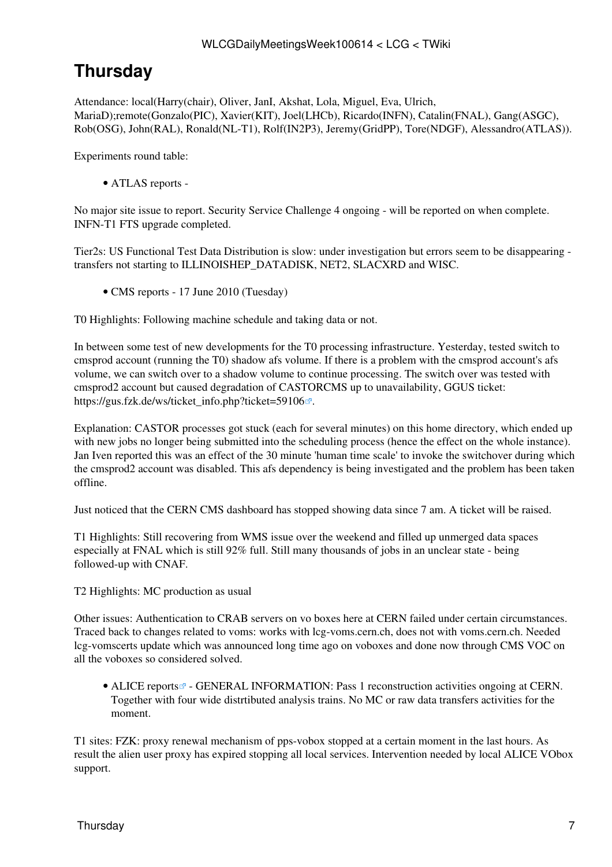# <span id="page-7-0"></span>**Thursday**

Attendance: local(Harry(chair), Oliver, [JanI](https://twiki.cern.ch/twiki/bin/edit/LCG/JanI?topicparent=LCG.WLCGDailyMeetingsWeek100614;nowysiwyg=1), Akshat, Lola, Miguel, Eva, Ulrich, [MariaD](https://twiki.cern.ch/twiki/bin/edit/LCG/MariaD?topicparent=LCG.WLCGDailyMeetingsWeek100614;nowysiwyg=1));remote(Gonzalo(PIC), Xavier(KIT), Joel(LHCb), Ricardo(INFN), Catalin(FNAL), Gang(ASGC), Rob(OSG), John([RAL\)](https://twiki.cern.ch/twiki/bin/view/LCG/RAL), Ronald(NL-T1), Rolf[\(IN2P3\)](https://twiki.cern.ch/twiki/bin/view/LCG/IN2P3), Jeremy[\(GridPP\)](https://twiki.cern.ch/twiki/bin/view/LCG/GridPP), Tore(NDGF), Alessandro(ATLAS)).

Experiments round table:

• ATLAS [reports](https://twiki.cern.ch/twiki/bin/view/Atlas/ADCOperationsDailyReports) -

No major site issue to report. Security Service Challenge 4 ongoing - will be reported on when complete. INFN-T1 FTS upgrade completed.

Tier2s: US Functional Test Data Distribution is slow: under investigation but errors seem to be disappearing transfers not starting to ILLINOISHEP\_DATADISK, NET2, SLACXRD and WISC.

• CMS [reports](https://twiki.cern.ch/twiki/bin/view/CMS/FacOps_WLCGdailyreports) - 17 June 2010 (Tuesday)

T0 Highlights: Following machine schedule and taking data or not.

In between some test of new developments for the T0 processing infrastructure. Yesterday, tested switch to cmsprod account (running the T0) shadow afs volume. If there is a problem with the cmsprod account's afs volume, we can switch over to a shadow volume to continue processing. The switch over was tested with cmsprod2 account but caused degradation of CASTORCMS up to unavailability, GGUS ticket: [https://gus.fzk.de/ws/ticket\\_info.php?ticket=59106](https://gus.fzk.de/ws/ticket_info.php?ticket=59106) .

Explanation: CASTOR processes got stuck (each for several minutes) on this home directory, which ended up with new jobs no longer being submitted into the scheduling process (hence the effect on the whole instance). Jan Iven reported this was an effect of the 30 minute 'human time scale' to invoke the switchover during which the cmsprod2 account was disabled. This afs dependency is being investigated and the problem has been taken offline.

Just noticed that the CERN CMS dashboard has stopped showing data since 7 am. A ticket will be raised.

T1 Highlights: Still recovering from WMS issue over the weekend and filled up unmerged data spaces especially at FNAL which is still 92% full. Still many thousands of jobs in an unclear state - being followed-up with CNAF.

T2 Highlights: MC production as usual

Other issues: Authentication to CRAB servers on vo boxes here at CERN failed under certain circumstances. Traced back to changes related to voms: works with lcg-voms.cern.ch, does not with voms.cern.ch. Needed lcg-vomscerts update which was announced long time ago on voboxes and done now through CMS VOC on all the voboxes so considered solved.

• ALICE [reports](http://alien2.cern.ch/index.php?option=com_content&view=article&id=75&Itemid=129)<sup>®</sup> - GENERAL INFORMATION: Pass 1 reconstruction activities ongoing at CERN. Together with four wide distrtibuted analysis trains. No MC or raw data transfers activities for the moment.

T1 sites: FZK: proxy renewal mechanism of pps-vobox stopped at a certain moment in the last hours. As result the alien user proxy has expired stopping all local services. Intervention needed by local ALICE VObox support.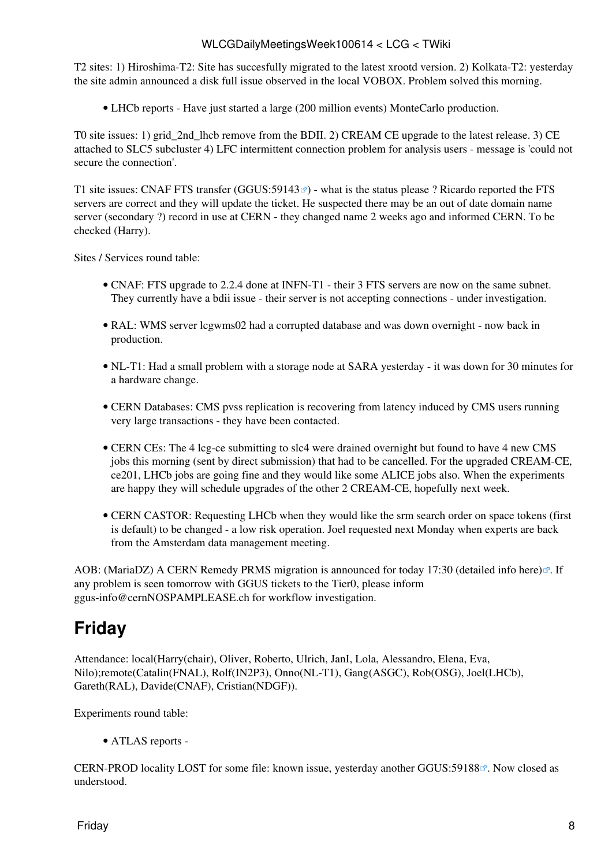T2 sites: 1) Hiroshima-T2: Site has succesfully migrated to the latest xrootd version. 2) Kolkata-T2: yesterday the site admin announced a disk full issue observed in the local VOBOX. Problem solved this morning.

• LHCb [reports](https://twiki.cern.ch/twiki/bin/view/LHCb/ProductionOperationsWLCGdailyReports) - Have just started a large (200 million events) [MonteCarlo](https://twiki.cern.ch/twiki/bin/edit/LCG/MonteCarlo?topicparent=LCG.WLCGDailyMeetingsWeek100614;nowysiwyg=1) production.

T0 site issues: 1) grid\_2nd\_lhcb remove from the BDII. 2) [CREAM](https://twiki.cern.ch/twiki/bin/view/LCG/CREAM) CE upgrade to the latest release. 3) CE attached to SLC5 subcluster 4) LFC intermittent connection problem for analysis users - message is 'could not secure the connection'.

T1 site issues: CNAF FTS transfer ([GGUS:59143](https://ggus.eu/ws/ticket_info.php?ticket=59143)<sup>®</sup>) - what is the status please ? Ricardo reported the FTS servers are correct and they will update the ticket. He suspected there may be an out of date domain name server (secondary ?) record in use at CERN - they changed name 2 weeks ago and informed CERN. To be checked (Harry).

Sites / Services round table:

- CNAF: FTS upgrade to 2.2.4 done at INFN-T1 their 3 FTS servers are now on the same subnet. They currently have a bdii issue - their server is not accepting connections - under investigation.
- [RAL](https://twiki.cern.ch/twiki/bin/view/LCG/RAL): WMS server lcgwms02 had a corrupted database and was down overnight now back in production.
- NL-T1: Had a small problem with a storage node at SARA yesterday it was down for 30 minutes for a hardware change.
- CERN Databases: CMS pvss replication is recovering from latency induced by CMS users running very large transactions - they have been contacted.
- CERN CEs: The 4 lcg-ce submitting to slc4 were drained overnight but found to have 4 new CMS jobs this morning (sent by direct submission) that had to be cancelled. For the upgraded [CREAM-](https://twiki.cern.ch/twiki/bin/view/LCG/CREAM)CE, ce201, LHCb jobs are going fine and they would like some ALICE jobs also. When the experiments are happy they will schedule upgrades of the other 2 [CREAM-](https://twiki.cern.ch/twiki/bin/view/LCG/CREAM)CE, hopefully next week.
- CERN CASTOR: Requesting LHCb when they would like the srm search order on space tokens (first is default) to be changed - a low risk operation. Joel requested next Monday when experts are back from the Amsterdam data management meeting.

AOB: ([MariaDZ\)](https://twiki.cern.ch/twiki/bin/edit/LCG/MariaDZ?topicparent=LCG.WLCGDailyMeetingsWeek100614;nowysiwyg=1) A CERN Remedy PRMS migration is announced for today 17:30 [\(detailed info here\)](http://it-support-servicestatus.web.cern.ch/it-support-servicestatus/ScheduledInterventionsArchive/RemedyServerintervention.htm) $\mathbb{Z}$ . If any problem is seen tomorrow with GGUS tickets to the Tier0, please inform [ggus-info@cernNOSPAMPLEASE.ch](mailto:ggus-info@cernNOSPAMPLEASE.ch) for workflow investigation.

## <span id="page-8-0"></span>**Friday**

Attendance: local(Harry(chair), Oliver, Roberto, Ulrich, [JanI,](https://twiki.cern.ch/twiki/bin/edit/LCG/JanI?topicparent=LCG.WLCGDailyMeetingsWeek100614;nowysiwyg=1) Lola, Alessandro, Elena, Eva, Nilo);remote(Catalin(FNAL), Rolf[\(IN2P3\)](https://twiki.cern.ch/twiki/bin/view/LCG/IN2P3), Onno(NL-T1), Gang(ASGC), Rob(OSG), Joel(LHCb), Gareth([RAL\)](https://twiki.cern.ch/twiki/bin/view/LCG/RAL), Davide(CNAF), Cristian(NDGF)).

Experiments round table:

• ATLAS [reports](https://twiki.cern.ch/twiki/bin/view/Atlas/ADCOperationsDailyReports) -

CERN-PROD locality LOST for some file: known issue, yesterday another [GGUS:59188](https://ggus.eu/ws/ticket_info.php?ticket=59188)<sup> $\alpha$ </sup>. Now closed as understood.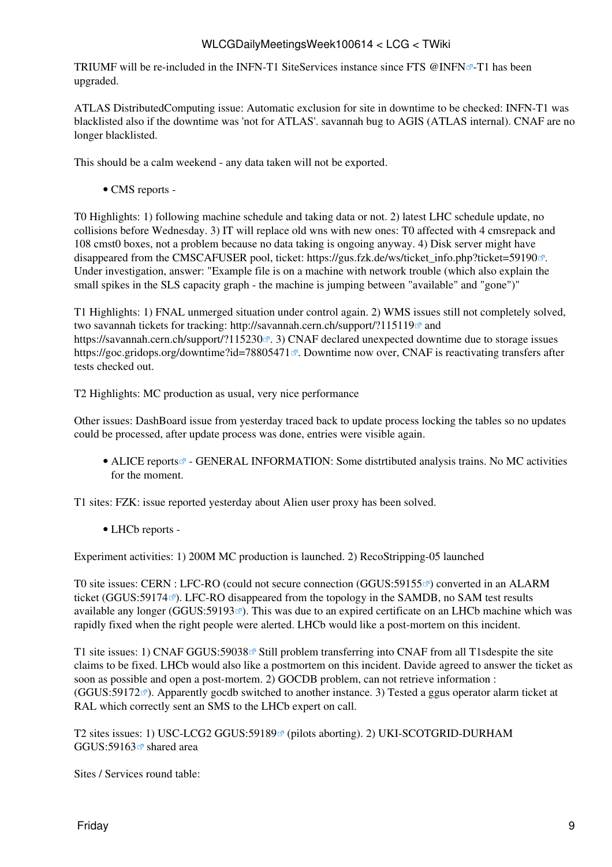TRIUMF will be re-included in the INFN-T1 [SiteServices](https://twiki.cern.ch/twiki/bin/edit/LCG/SiteServices?topicparent=LCG.WLCGDailyMeetingsWeek100614;nowysiwyg=1) instance since FTS [@INFN](https://twitter.com/INFN) $\mathbb{F}$ -T1 has been upgraded.

ATLAS [DistributedComputing](https://twiki.cern.ch/twiki/bin/edit/LCG/DistributedComputing?topicparent=LCG.WLCGDailyMeetingsWeek100614;nowysiwyg=1) issue: Automatic exclusion for site in downtime to be checked: INFN-T1 was blacklisted also if the downtime was 'not for ATLAS'. savannah bug to AGIS (ATLAS internal). CNAF are no longer blacklisted.

This should be a calm weekend - any data taken will not be exported.

• CMS [reports](https://twiki.cern.ch/twiki/bin/view/CMS/FacOps_WLCGdailyreports) -

T0 Highlights: 1) following machine schedule and taking data or not. 2) latest LHC schedule update, no collisions before Wednesday. 3) IT will replace old wns with new ones: T0 affected with 4 cmsrepack and 108 cmst0 boxes, not a problem because no data taking is ongoing anyway. 4) Disk server might have disappeared from the CMSCAFUSER pool, ticket: https://gus.fzk.de/ws/ticket info.php?ticket=59190 $\degree$ . Under investigation, answer: "Example file is on a machine with network trouble (which also explain the small spikes in the SLS capacity graph - the machine is jumping between "available" and "gone")"

T1 Highlights: 1) FNAL unmerged situation under control again. 2) WMS issues still not completely solved, two savannah tickets for tracking: <http://savannah.cern.ch/support/?115119> $\Phi$  and <https://savannah.cern.ch/support/?115230> . 3) CNAF declared unexpected downtime due to storage issues <https://goc.gridops.org/downtime?id=78805471> . Downtime now over, CNAF is reactivating transfers after tests checked out.

T2 Highlights: MC production as usual, very nice performance

Other issues: [DashBoard](https://twiki.cern.ch/twiki/bin/edit/LCG/DashBoard?topicparent=LCG.WLCGDailyMeetingsWeek100614;nowysiwyg=1) issue from yesterday traced back to update process locking the tables so no updates could be processed, after update process was done, entries were visible again.

• ALICE [reports](http://alien2.cern.ch/index.php?option=com_content&view=article&id=75&Itemid=129)<sup>®</sup> - GENERAL INFORMATION: Some distrtibuted analysis trains. No MC activities for the moment.

T1 sites: FZK: issue reported yesterday about Alien user proxy has been solved.

• LHCb [reports](https://twiki.cern.ch/twiki/bin/view/LHCb/ProductionOperationsWLCGdailyReports) -

Experiment activities: 1) 200M MC production is launched. 2) [RecoStripping-](https://twiki.cern.ch/twiki/bin/edit/LCG/RecoStripping?topicparent=LCG.WLCGDailyMeetingsWeek100614;nowysiwyg=1)05 launched

T0 site issues: CERN : LFC-RO (could not secure connection [\(GGUS:59155](https://ggus.eu/ws/ticket_info.php?ticket=59155)<sup>®</sup>) converted in an ALARM ticket ([GGUS:59174](https://ggus.eu/ws/ticket_info.php?ticket=59174)<sup> $\alpha$ </sup>). LFC-RO disappeared from the topology in the SAMDB, no SAM test results available any longer ([GGUS:59193](https://ggus.eu/ws/ticket_info.php?ticket=59193) $\blacktriangledown$ ). This was due to an expired certificate on an LHCb machine which was rapidly fixed when the right people were alerted. LHCb would like a post-mortem on this incident.

T1 site issues: 1) CNAF [GGUS:59038](https://ggus.eu/ws/ticket_info.php?ticket=59038) <sup>®</sup> Still problem transferring into CNAF from all T1sdespite the site claims to be fixed. LHCb would also like a postmortem on this incident. Davide agreed to answer the ticket as soon as possible and open a post-mortem. 2) GOCDB problem, can not retrieve information :  $(GGUS:59172 \text{°})$  $(GGUS:59172 \text{°})$  $(GGUS:59172 \text{°})$ . Apparently gocdb switched to another instance. 3) Tested a ggus operator alarm ticket at [RAL](https://twiki.cern.ch/twiki/bin/view/LCG/RAL) which correctly sent an SMS to the LHCb expert on call.

T2 sites issues: 1) USC-LCG2 [GGUS:59189](https://ggus.eu/ws/ticket_info.php?ticket=59189)<sup>®</sup> (pilots aborting). 2) UKI-SCOTGRID-DURHAM GGUS:59163 $\sigma$  shared area

Sites / Services round table: